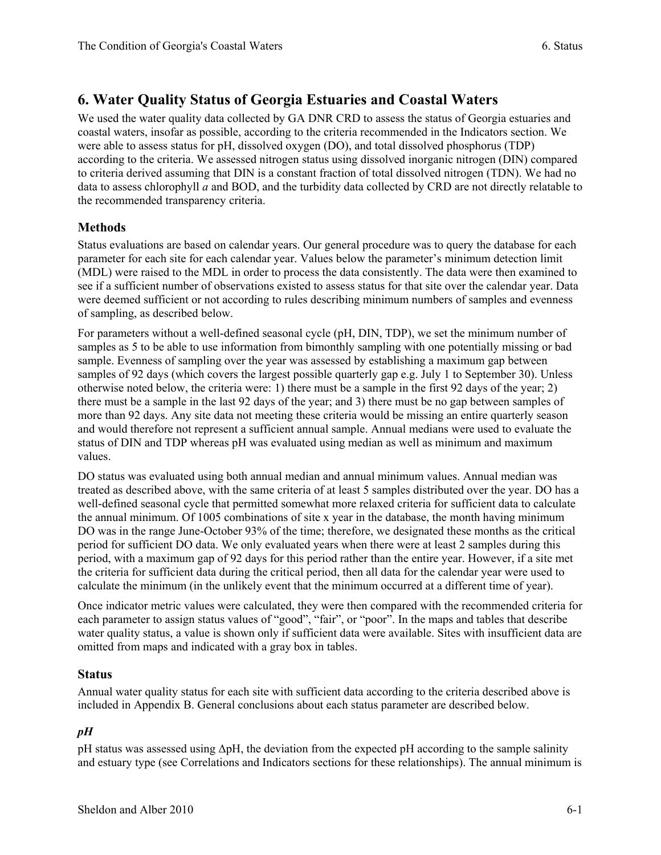# **6. Water Quality Status of Georgia Estuaries and Coastal Waters**

We used the water quality data collected by GA DNR CRD to assess the status of Georgia estuaries and coastal waters, insofar as possible, according to the criteria recommended in the Indicators section. We were able to assess status for pH, dissolved oxygen (DO), and total dissolved phosphorus (TDP) according to the criteria. We assessed nitrogen status using dissolved inorganic nitrogen (DIN) compared to criteria derived assuming that DIN is a constant fraction of total dissolved nitrogen (TDN). We had no data to assess chlorophyll *a* and BOD, and the turbidity data collected by CRD are not directly relatable to the recommended transparency criteria.

## **Methods**

Status evaluations are based on calendar years. Our general procedure was to query the database for each parameter for each site for each calendar year. Values below the parameter's minimum detection limit (MDL) were raised to the MDL in order to process the data consistently. The data were then examined to see if a sufficient number of observations existed to assess status for that site over the calendar year. Data were deemed sufficient or not according to rules describing minimum numbers of samples and evenness of sampling, as described below.

For parameters without a well-defined seasonal cycle (pH, DIN, TDP), we set the minimum number of samples as 5 to be able to use information from bimonthly sampling with one potentially missing or bad sample. Evenness of sampling over the year was assessed by establishing a maximum gap between samples of 92 days (which covers the largest possible quarterly gap e.g. July 1 to September 30). Unless otherwise noted below, the criteria were: 1) there must be a sample in the first 92 days of the year; 2) there must be a sample in the last 92 days of the year; and 3) there must be no gap between samples of more than 92 days. Any site data not meeting these criteria would be missing an entire quarterly season and would therefore not represent a sufficient annual sample. Annual medians were used to evaluate the status of DIN and TDP whereas pH was evaluated using median as well as minimum and maximum values.

DO status was evaluated using both annual median and annual minimum values. Annual median was treated as described above, with the same criteria of at least 5 samples distributed over the year. DO has a well-defined seasonal cycle that permitted somewhat more relaxed criteria for sufficient data to calculate the annual minimum. Of 1005 combinations of site x year in the database, the month having minimum DO was in the range June-October 93% of the time; therefore, we designated these months as the critical period for sufficient DO data. We only evaluated years when there were at least 2 samples during this period, with a maximum gap of 92 days for this period rather than the entire year. However, if a site met the criteria for sufficient data during the critical period, then all data for the calendar year were used to calculate the minimum (in the unlikely event that the minimum occurred at a different time of year).

Once indicator metric values were calculated, they were then compared with the recommended criteria for each parameter to assign status values of "good", "fair", or "poor". In the maps and tables that describe water quality status, a value is shown only if sufficient data were available. Sites with insufficient data are omitted from maps and indicated with a gray box in tables.

## **Status**

Annual water quality status for each site with sufficient data according to the criteria described above is included in Appendix B. General conclusions about each status parameter are described below.

#### *pH*

pH status was assessed using ΔpH, the deviation from the expected pH according to the sample salinity and estuary type (see Correlations and Indicators sections for these relationships). The annual minimum is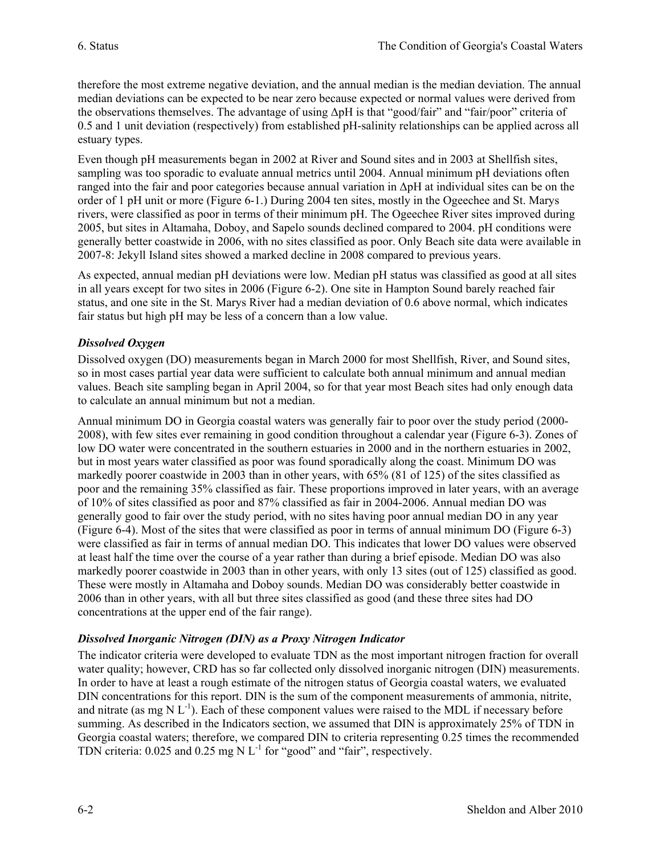therefore the most extreme negative deviation, and the annual median is the median deviation. The annual median deviations can be expected to be near zero because expected or normal values were derived from the observations themselves. The advantage of using ΔpH is that "good/fair" and "fair/poor" criteria of 0.5 and 1 unit deviation (respectively) from established pH-salinity relationships can be applied across all estuary types.

Even though pH measurements began in 2002 at River and Sound sites and in 2003 at Shellfish sites, sampling was too sporadic to evaluate annual metrics until 2004. Annual minimum pH deviations often ranged into the fair and poor categories because annual variation in ΔpH at individual sites can be on the order of 1 pH unit or more (Figure 6-1.) During 2004 ten sites, mostly in the Ogeechee and St. Marys rivers, were classified as poor in terms of their minimum pH. The Ogeechee River sites improved during 2005, but sites in Altamaha, Doboy, and Sapelo sounds declined compared to 2004. pH conditions were generally better coastwide in 2006, with no sites classified as poor. Only Beach site data were available in 2007-8: Jekyll Island sites showed a marked decline in 2008 compared to previous years.

As expected, annual median pH deviations were low. Median pH status was classified as good at all sites in all years except for two sites in 2006 (Figure 6-2). One site in Hampton Sound barely reached fair status, and one site in the St. Marys River had a median deviation of 0.6 above normal, which indicates fair status but high pH may be less of a concern than a low value.

#### *Dissolved Oxygen*

Dissolved oxygen (DO) measurements began in March 2000 for most Shellfish, River, and Sound sites, so in most cases partial year data were sufficient to calculate both annual minimum and annual median values. Beach site sampling began in April 2004, so for that year most Beach sites had only enough data to calculate an annual minimum but not a median.

Annual minimum DO in Georgia coastal waters was generally fair to poor over the study period (2000- 2008), with few sites ever remaining in good condition throughout a calendar year (Figure 6-3). Zones of low DO water were concentrated in the southern estuaries in 2000 and in the northern estuaries in 2002, but in most years water classified as poor was found sporadically along the coast. Minimum DO was markedly poorer coastwide in 2003 than in other years, with 65% (81 of 125) of the sites classified as poor and the remaining 35% classified as fair. These proportions improved in later years, with an average of 10% of sites classified as poor and 87% classified as fair in 2004-2006. Annual median DO was generally good to fair over the study period, with no sites having poor annual median DO in any year (Figure 6-4). Most of the sites that were classified as poor in terms of annual minimum DO (Figure 6-3) were classified as fair in terms of annual median DO. This indicates that lower DO values were observed at least half the time over the course of a year rather than during a brief episode. Median DO was also markedly poorer coastwide in 2003 than in other years, with only 13 sites (out of 125) classified as good. These were mostly in Altamaha and Doboy sounds. Median DO was considerably better coastwide in 2006 than in other years, with all but three sites classified as good (and these three sites had DO concentrations at the upper end of the fair range).

#### *Dissolved Inorganic Nitrogen (DIN) as a Proxy Nitrogen Indicator*

The indicator criteria were developed to evaluate TDN as the most important nitrogen fraction for overall water quality; however, CRD has so far collected only dissolved inorganic nitrogen (DIN) measurements. In order to have at least a rough estimate of the nitrogen status of Georgia coastal waters, we evaluated DIN concentrations for this report. DIN is the sum of the component measurements of ammonia, nitrite, and nitrate (as mg N  $L^{-1}$ ). Each of these component values were raised to the MDL if necessary before summing. As described in the Indicators section, we assumed that DIN is approximately 25% of TDN in Georgia coastal waters; therefore, we compared DIN to criteria representing 0.25 times the recommended TDN criteria:  $0.025$  and  $0.25$  mg N L<sup>-1</sup> for "good" and "fair", respectively.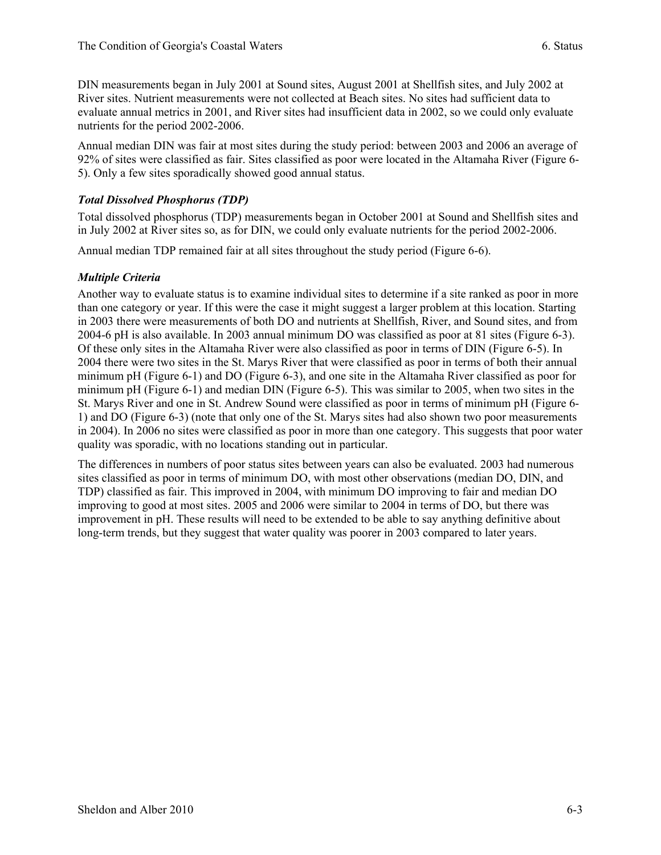DIN measurements began in July 2001 at Sound sites, August 2001 at Shellfish sites, and July 2002 at River sites. Nutrient measurements were not collected at Beach sites. No sites had sufficient data to evaluate annual metrics in 2001, and River sites had insufficient data in 2002, so we could only evaluate nutrients for the period 2002-2006.

Annual median DIN was fair at most sites during the study period: between 2003 and 2006 an average of 92% of sites were classified as fair. Sites classified as poor were located in the Altamaha River (Figure 6- 5). Only a few sites sporadically showed good annual status.

### *Total Dissolved Phosphorus (TDP)*

Total dissolved phosphorus (TDP) measurements began in October 2001 at Sound and Shellfish sites and in July 2002 at River sites so, as for DIN, we could only evaluate nutrients for the period 2002-2006.

Annual median TDP remained fair at all sites throughout the study period (Figure 6-6).

#### *Multiple Criteria*

Another way to evaluate status is to examine individual sites to determine if a site ranked as poor in more than one category or year. If this were the case it might suggest a larger problem at this location. Starting in 2003 there were measurements of both DO and nutrients at Shellfish, River, and Sound sites, and from 2004-6 pH is also available. In 2003 annual minimum DO was classified as poor at 81 sites (Figure 6-3). Of these only sites in the Altamaha River were also classified as poor in terms of DIN (Figure 6-5). In 2004 there were two sites in the St. Marys River that were classified as poor in terms of both their annual minimum pH (Figure 6-1) and DO (Figure 6-3), and one site in the Altamaha River classified as poor for minimum pH (Figure 6-1) and median DIN (Figure 6-5). This was similar to 2005, when two sites in the St. Marys River and one in St. Andrew Sound were classified as poor in terms of minimum pH (Figure 6- 1) and DO (Figure 6-3) (note that only one of the St. Marys sites had also shown two poor measurements in 2004). In 2006 no sites were classified as poor in more than one category. This suggests that poor water quality was sporadic, with no locations standing out in particular.

The differences in numbers of poor status sites between years can also be evaluated. 2003 had numerous sites classified as poor in terms of minimum DO, with most other observations (median DO, DIN, and TDP) classified as fair. This improved in 2004, with minimum DO improving to fair and median DO improving to good at most sites. 2005 and 2006 were similar to 2004 in terms of DO, but there was improvement in pH. These results will need to be extended to be able to say anything definitive about long-term trends, but they suggest that water quality was poorer in 2003 compared to later years.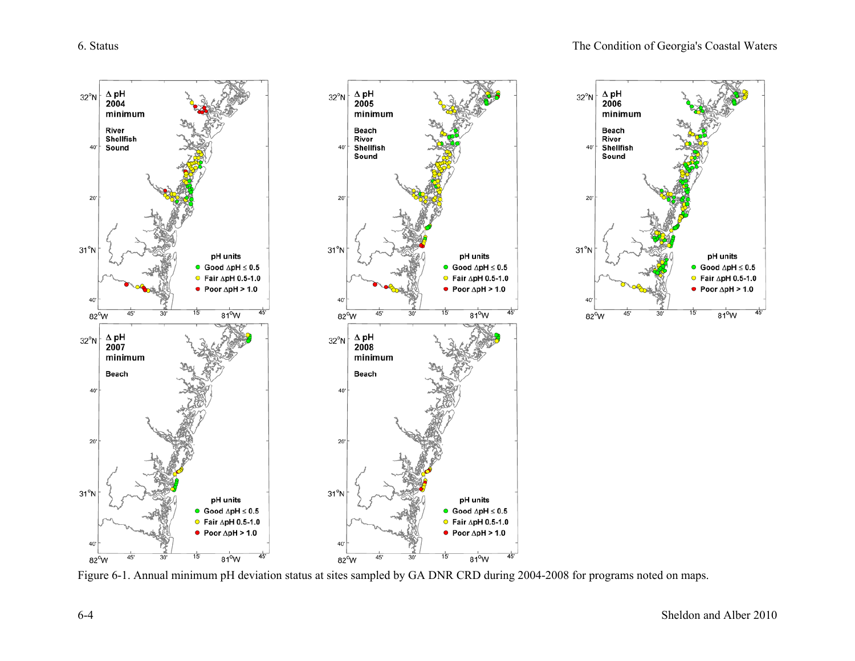

Figure 6-1. Annual minimum pH deviation status at sites sampled by GA DNR CRD during 2004-2008 for programs noted on maps.

pH units

● Good  $\Delta$ pH  $\leq$  0.5

 $\bullet$  Fair  $\Delta$ pH 0.5-1.0

• Poor  $\Delta$ pH > 1.0

 $81^{\circ}$ W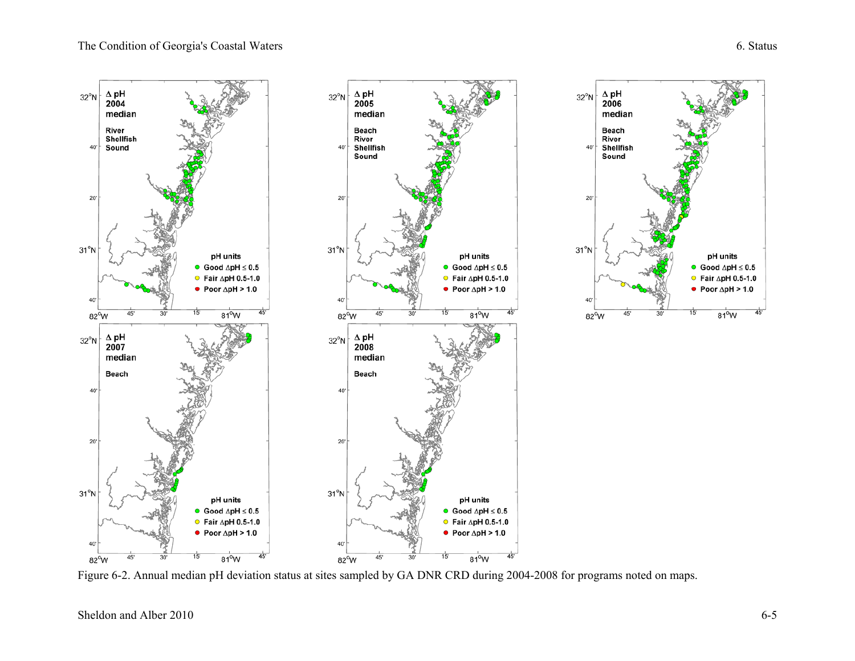pH units

● Good  $\Delta$ pH  $\leq$  0.5

 $\bullet$  Fair  $\Delta$ pH 0.5-1.0

• Poor  $\Delta$ pH > 1.0

 $81^{\circ}$ W



Figure 6-2. Annual median pH deviation status at sites sampled by GA DNR CRD during 2004-2008 for programs noted on maps.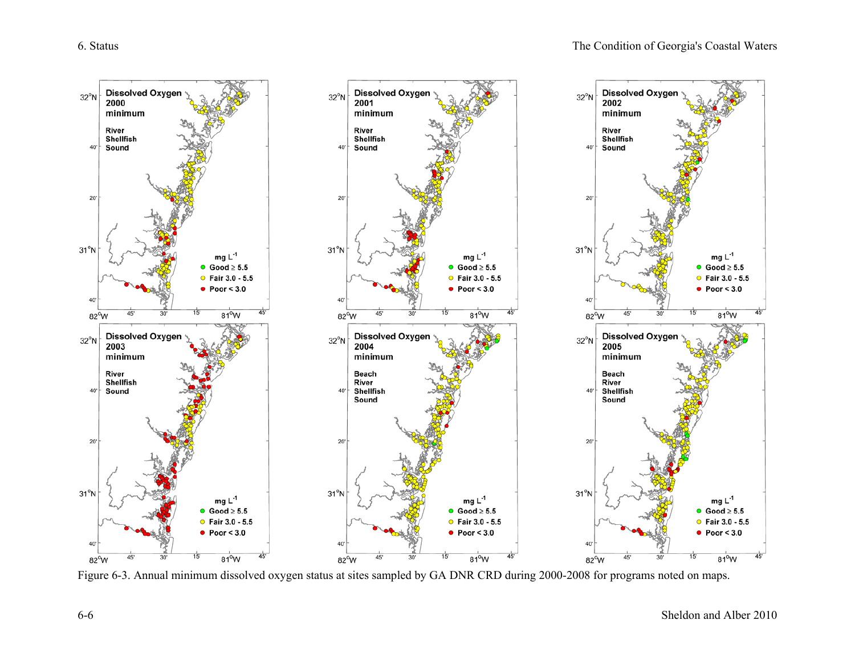

Figure 6-3. Annual minimum dissolved oxygen status at sites sampled by GA DNR CRD during 2000-2008 for programs noted on maps.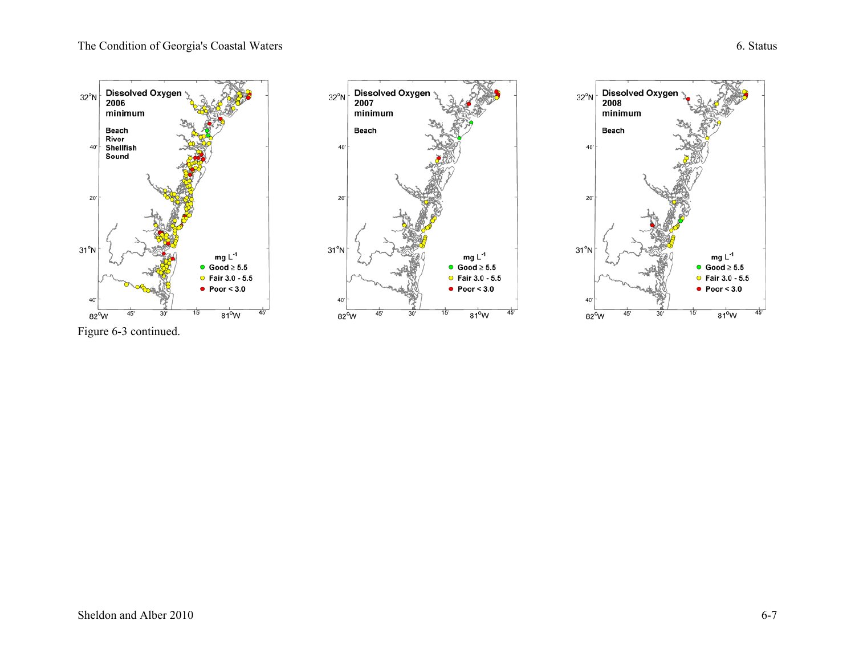mg  $L^{-1}$ 

• Good  $\geq 5.5$ 

• Fair  $3.0 - 5.5$ 

 $81^{\circ}$ W

 $\bullet$  Poor < 3.0

Dissolved Oxygen<br>2008

 $minimum$ 

Beach

 $32^{\circ}$ N

40'

 $20'$ 

 $31^{\circ}N$ 

 $82^{\circ}$ W

45

mg  $L^{-1}$ 

 $\bullet$  Good  $\geq 5.5$ 

• Fair  $3.0 - 5.5$ 

 $81^{\circ}$ W

 $\bullet$  Poor < 3.0



Figure 6-3 continued.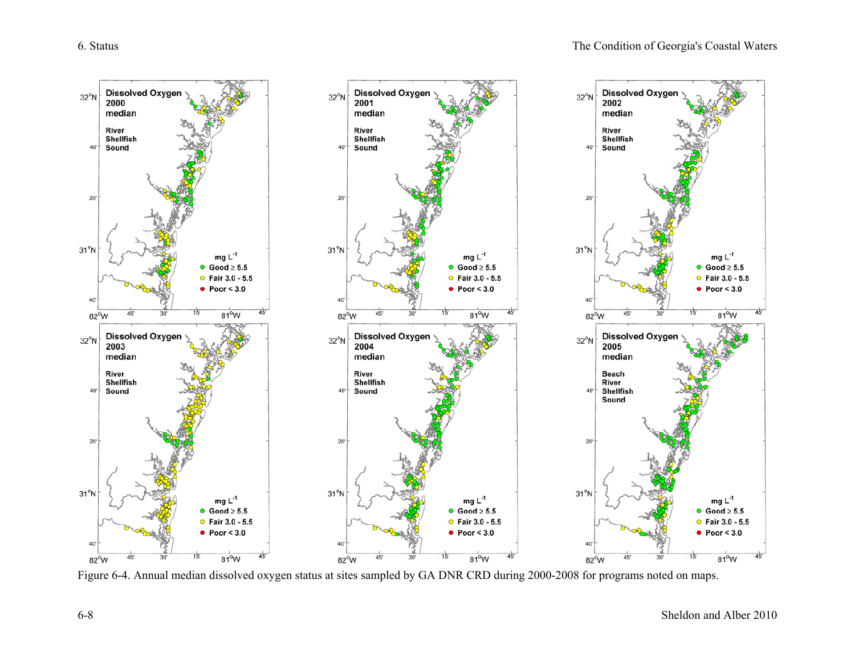

Figure 6-4. Annual median dissolved oxygen status at sites sampled by GA DNR CRD during 2000-2008 for programs noted on maps.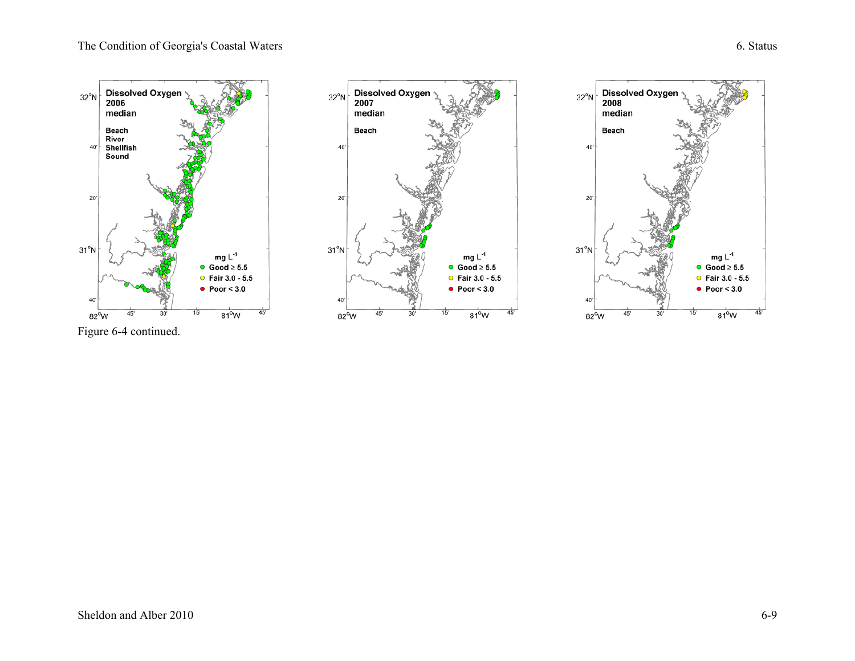





Figure 6-4 continued.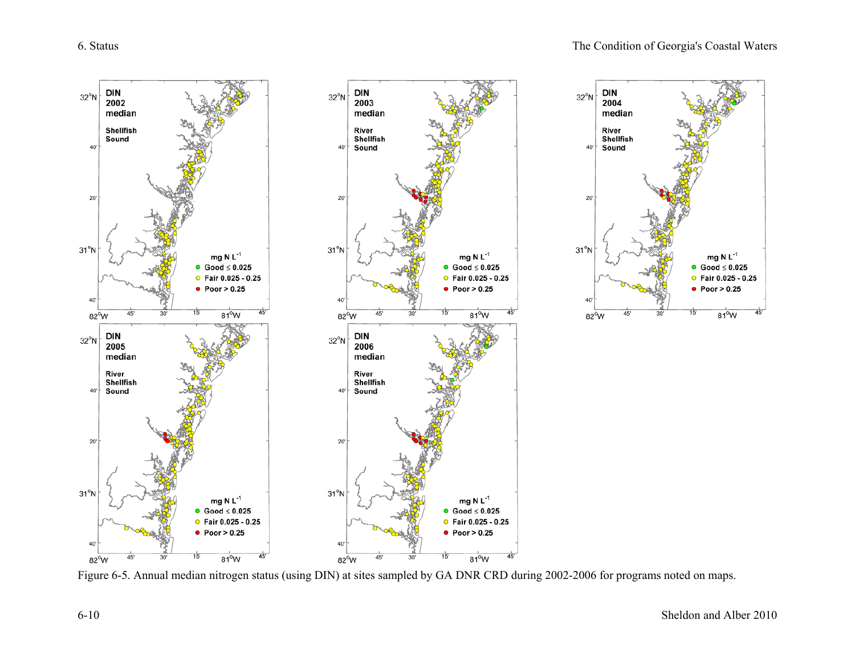

Figure 6-5. Annual median nitrogen status (using DIN) at sites sampled by GA DNR CRD during 2002-2006 for programs noted on maps.